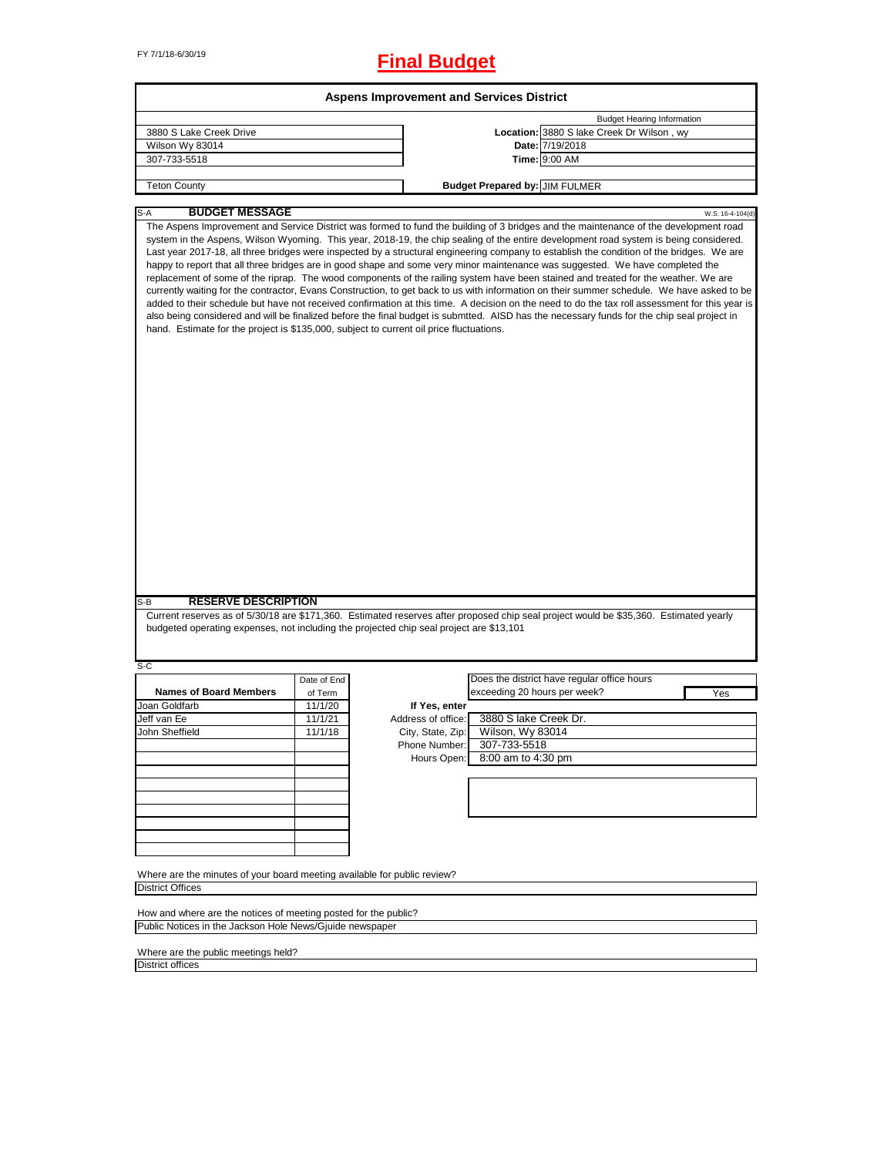# FY 7/1/18-6/30/19 **Final Budget**

|                                                                                                                              |             | <b>Aspens Improvement and Services District</b> |                                       |                                                                                                                                                                                                                                                                                                                                                                                                                                                                                                                                                                                                                                                                                                                                                                                                                                                                                                                                                                                                                                                                                                                                                 |
|------------------------------------------------------------------------------------------------------------------------------|-------------|-------------------------------------------------|---------------------------------------|-------------------------------------------------------------------------------------------------------------------------------------------------------------------------------------------------------------------------------------------------------------------------------------------------------------------------------------------------------------------------------------------------------------------------------------------------------------------------------------------------------------------------------------------------------------------------------------------------------------------------------------------------------------------------------------------------------------------------------------------------------------------------------------------------------------------------------------------------------------------------------------------------------------------------------------------------------------------------------------------------------------------------------------------------------------------------------------------------------------------------------------------------|
|                                                                                                                              |             |                                                 |                                       | <b>Budget Hearing Information</b>                                                                                                                                                                                                                                                                                                                                                                                                                                                                                                                                                                                                                                                                                                                                                                                                                                                                                                                                                                                                                                                                                                               |
| 3880 S Lake Creek Drive                                                                                                      |             |                                                 |                                       | Location: 3880 S lake Creek Dr Wilson, wy                                                                                                                                                                                                                                                                                                                                                                                                                                                                                                                                                                                                                                                                                                                                                                                                                                                                                                                                                                                                                                                                                                       |
| Wilson Wy 83014                                                                                                              |             |                                                 |                                       | Date: 7/19/2018                                                                                                                                                                                                                                                                                                                                                                                                                                                                                                                                                                                                                                                                                                                                                                                                                                                                                                                                                                                                                                                                                                                                 |
| 307-733-5518                                                                                                                 |             |                                                 |                                       | Time: 9:00 AM                                                                                                                                                                                                                                                                                                                                                                                                                                                                                                                                                                                                                                                                                                                                                                                                                                                                                                                                                                                                                                                                                                                                   |
|                                                                                                                              |             |                                                 |                                       |                                                                                                                                                                                                                                                                                                                                                                                                                                                                                                                                                                                                                                                                                                                                                                                                                                                                                                                                                                                                                                                                                                                                                 |
| <b>Teton County</b>                                                                                                          |             |                                                 | <b>Budget Prepared by: JIM FULMER</b> |                                                                                                                                                                                                                                                                                                                                                                                                                                                                                                                                                                                                                                                                                                                                                                                                                                                                                                                                                                                                                                                                                                                                                 |
| <b>BUDGET MESSAGE</b><br>S-A                                                                                                 |             |                                                 |                                       | W.S. 16-4-104(d)                                                                                                                                                                                                                                                                                                                                                                                                                                                                                                                                                                                                                                                                                                                                                                                                                                                                                                                                                                                                                                                                                                                                |
| hand. Estimate for the project is \$135,000, subject to current oil price fluctuations.<br><b>RESERVE DESCRIPTION</b><br>S-B |             |                                                 |                                       | The Aspens Improvement and Service District was formed to fund the building of 3 bridges and the maintenance of the development road<br>system in the Aspens, Wilson Wyoming. This year, 2018-19, the chip sealing of the entire development road system is being considered.<br>Last year 2017-18, all three bridges were inspected by a structural engineering company to establish the condition of the bridges. We are<br>happy to report that all three bridges are in good shape and some very minor maintenance was suggested. We have completed the<br>replacement of some of the riprap. The wood components of the railing system have been stained and treated for the weather. We are<br>currently waiting for the contractor, Evans Construction, to get back to us with information on their summer schedule. We have asked to be<br>added to their schedule but have not received confirmation at this time. A decision on the need to do the tax roll assessment for this year is<br>also being considered and will be finalized before the final budget is submtted. AISD has the necessary funds for the chip seal project in |
| budgeted operating expenses, not including the projected chip seal project are \$13,101                                      |             |                                                 |                                       | Current reserves as of 5/30/18 are \$171,360. Estimated reserves after proposed chip seal project would be \$35,360. Estimated yearly                                                                                                                                                                                                                                                                                                                                                                                                                                                                                                                                                                                                                                                                                                                                                                                                                                                                                                                                                                                                           |
|                                                                                                                              |             |                                                 |                                       |                                                                                                                                                                                                                                                                                                                                                                                                                                                                                                                                                                                                                                                                                                                                                                                                                                                                                                                                                                                                                                                                                                                                                 |
| S-C                                                                                                                          |             |                                                 |                                       | Does the district have regular office hours                                                                                                                                                                                                                                                                                                                                                                                                                                                                                                                                                                                                                                                                                                                                                                                                                                                                                                                                                                                                                                                                                                     |
| <b>Names of Board Members</b>                                                                                                | Date of End |                                                 | exceeding 20 hours per week?          |                                                                                                                                                                                                                                                                                                                                                                                                                                                                                                                                                                                                                                                                                                                                                                                                                                                                                                                                                                                                                                                                                                                                                 |
|                                                                                                                              | of Term     |                                                 |                                       | Yes                                                                                                                                                                                                                                                                                                                                                                                                                                                                                                                                                                                                                                                                                                                                                                                                                                                                                                                                                                                                                                                                                                                                             |
| Joan Goldfarb                                                                                                                | 11/1/20     | If Yes, enter                                   |                                       |                                                                                                                                                                                                                                                                                                                                                                                                                                                                                                                                                                                                                                                                                                                                                                                                                                                                                                                                                                                                                                                                                                                                                 |
| Jeff van Ee                                                                                                                  | 11/1/21     | Address of office:                              | 3880 S lake Creek Dr.                 |                                                                                                                                                                                                                                                                                                                                                                                                                                                                                                                                                                                                                                                                                                                                                                                                                                                                                                                                                                                                                                                                                                                                                 |
| John Sheffield                                                                                                               | 11/1/18     | City, State, Zip:                               | Wilson, Wy 83014                      |                                                                                                                                                                                                                                                                                                                                                                                                                                                                                                                                                                                                                                                                                                                                                                                                                                                                                                                                                                                                                                                                                                                                                 |
|                                                                                                                              |             | Phone Number:                                   | 307-733-5518                          |                                                                                                                                                                                                                                                                                                                                                                                                                                                                                                                                                                                                                                                                                                                                                                                                                                                                                                                                                                                                                                                                                                                                                 |
|                                                                                                                              |             | Hours Open:                                     | 8:00 am to 4:30 pm                    |                                                                                                                                                                                                                                                                                                                                                                                                                                                                                                                                                                                                                                                                                                                                                                                                                                                                                                                                                                                                                                                                                                                                                 |
|                                                                                                                              |             |                                                 |                                       |                                                                                                                                                                                                                                                                                                                                                                                                                                                                                                                                                                                                                                                                                                                                                                                                                                                                                                                                                                                                                                                                                                                                                 |
|                                                                                                                              |             |                                                 |                                       |                                                                                                                                                                                                                                                                                                                                                                                                                                                                                                                                                                                                                                                                                                                                                                                                                                                                                                                                                                                                                                                                                                                                                 |
|                                                                                                                              |             |                                                 |                                       |                                                                                                                                                                                                                                                                                                                                                                                                                                                                                                                                                                                                                                                                                                                                                                                                                                                                                                                                                                                                                                                                                                                                                 |
|                                                                                                                              |             |                                                 |                                       |                                                                                                                                                                                                                                                                                                                                                                                                                                                                                                                                                                                                                                                                                                                                                                                                                                                                                                                                                                                                                                                                                                                                                 |
|                                                                                                                              |             |                                                 |                                       |                                                                                                                                                                                                                                                                                                                                                                                                                                                                                                                                                                                                                                                                                                                                                                                                                                                                                                                                                                                                                                                                                                                                                 |
|                                                                                                                              |             |                                                 |                                       |                                                                                                                                                                                                                                                                                                                                                                                                                                                                                                                                                                                                                                                                                                                                                                                                                                                                                                                                                                                                                                                                                                                                                 |
|                                                                                                                              |             |                                                 |                                       |                                                                                                                                                                                                                                                                                                                                                                                                                                                                                                                                                                                                                                                                                                                                                                                                                                                                                                                                                                                                                                                                                                                                                 |
| Where are the minutes of your board meeting available for public review?                                                     |             |                                                 |                                       |                                                                                                                                                                                                                                                                                                                                                                                                                                                                                                                                                                                                                                                                                                                                                                                                                                                                                                                                                                                                                                                                                                                                                 |
| <b>District Offices</b>                                                                                                      |             |                                                 |                                       |                                                                                                                                                                                                                                                                                                                                                                                                                                                                                                                                                                                                                                                                                                                                                                                                                                                                                                                                                                                                                                                                                                                                                 |
| How and where are the notices of meeting posted for the public?                                                              |             |                                                 |                                       |                                                                                                                                                                                                                                                                                                                                                                                                                                                                                                                                                                                                                                                                                                                                                                                                                                                                                                                                                                                                                                                                                                                                                 |
| Public Notices in the Jackson Hole News/Gjuide newspaper                                                                     |             |                                                 |                                       |                                                                                                                                                                                                                                                                                                                                                                                                                                                                                                                                                                                                                                                                                                                                                                                                                                                                                                                                                                                                                                                                                                                                                 |
|                                                                                                                              |             |                                                 |                                       |                                                                                                                                                                                                                                                                                                                                                                                                                                                                                                                                                                                                                                                                                                                                                                                                                                                                                                                                                                                                                                                                                                                                                 |
| Where are the public meetings held?                                                                                          |             |                                                 |                                       |                                                                                                                                                                                                                                                                                                                                                                                                                                                                                                                                                                                                                                                                                                                                                                                                                                                                                                                                                                                                                                                                                                                                                 |
| <b>District offices</b>                                                                                                      |             |                                                 |                                       |                                                                                                                                                                                                                                                                                                                                                                                                                                                                                                                                                                                                                                                                                                                                                                                                                                                                                                                                                                                                                                                                                                                                                 |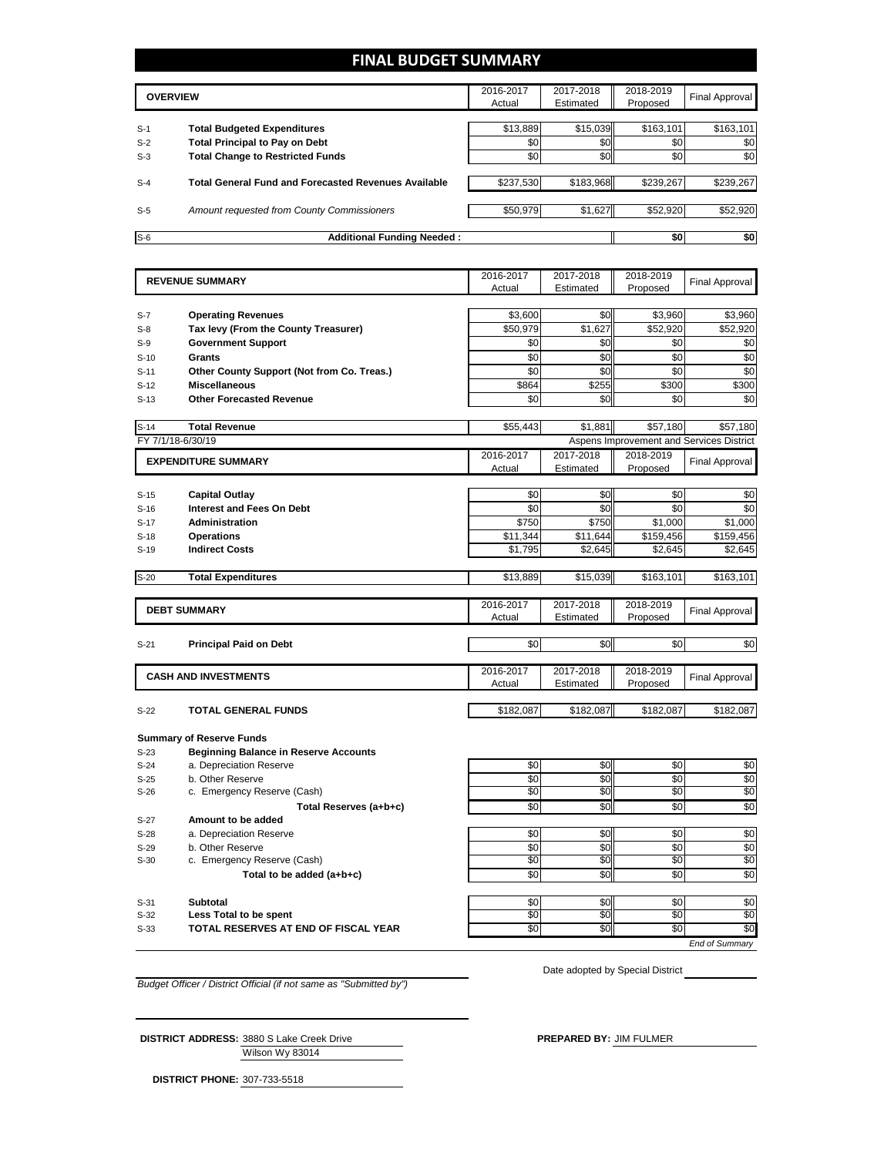# **FINAL BUDGET SUMMARY**

|       | <b>OVERVIEW</b>                                             |           | 2017-2018<br>Estimated | 2018-2019<br>Proposed | Final Approval |
|-------|-------------------------------------------------------------|-----------|------------------------|-----------------------|----------------|
|       |                                                             |           |                        |                       |                |
| $S-1$ | <b>Total Budgeted Expenditures</b>                          | \$13,889  | \$15,039               | \$163,101             | \$163,101      |
| $S-2$ | <b>Total Principal to Pay on Debt</b>                       | \$0       | \$0                    | \$0                   | \$0            |
| $S-3$ | <b>Total Change to Restricted Funds</b>                     | \$0       | \$0                    | \$0                   | \$0            |
|       |                                                             |           |                        |                       |                |
| $S-4$ | <b>Total General Fund and Forecasted Revenues Available</b> | \$237,530 | \$183,968              | \$239,267             | \$239,267      |
|       |                                                             |           |                        |                       |                |
| $S-5$ | Amount requested from County Commissioners                  | \$50,979  | \$1,627                | \$52,920              | \$52,920       |
|       |                                                             |           |                        |                       |                |
| $S-6$ | <b>Additional Funding Needed:</b>                           |           |                        | \$0                   | \$0            |

|                  | <b>REVENUE SUMMARY</b>                       |                 | 2017-2018       | 2018-2019     | Final Approval                           |
|------------------|----------------------------------------------|-----------------|-----------------|---------------|------------------------------------------|
|                  |                                              | Actual          | Estimated       | Proposed      |                                          |
|                  |                                              |                 |                 |               |                                          |
| $S-7$            | <b>Operating Revenues</b>                    | \$3,600         | \$0             | \$3,960       | \$3,960                                  |
| $S-8$            | Tax levy (From the County Treasurer)         | \$50,979        | \$1,627         | \$52,920      | \$52,920                                 |
| $S-9$            | <b>Government Support</b>                    | \$0             | \$0             | \$0           | \$0                                      |
| $S-10$           | <b>Grants</b>                                | \$0             | \$0             | \$0           | \$0                                      |
| $S-11$           | Other County Support (Not from Co. Treas.)   | \$0             | \$0             | \$0           | $\sqrt{6}$                               |
| $S-12$           | <b>Miscellaneous</b>                         | \$864           | \$255           | \$300         | \$300                                    |
| $S-13$           | <b>Other Forecasted Revenue</b>              | \$0             | \$0             | \$0           | \$0                                      |
|                  |                                              |                 |                 |               |                                          |
| $S-14$           | <b>Total Revenue</b>                         | \$55,443        | \$1,881         | \$57,180      | \$57,180                                 |
|                  | FY 7/1/18-6/30/19                            |                 |                 |               | Aspens Improvement and Services District |
|                  |                                              | 2016-2017       | 2017-2018       | 2018-2019     |                                          |
|                  | <b>EXPENDITURE SUMMARY</b>                   | Actual          | Estimated       | Proposed      | Final Approval                           |
|                  |                                              |                 |                 |               |                                          |
| $S-15$           | <b>Capital Outlay</b>                        | \$0             | \$0             | \$0           | \$0                                      |
| $S-16$           | <b>Interest and Fees On Debt</b>             | \$0             | \$0             | \$0           | \$0                                      |
| $S-17$           | <b>Administration</b>                        | \$750           | \$750           | \$1,000       | \$1,000                                  |
| $S-18$           | <b>Operations</b>                            | \$11,344        | \$11,644        | \$159,456     | \$159,456                                |
| $S-19$           | <b>Indirect Costs</b>                        | \$1,795         | \$2,645         | \$2,645       | \$2,645                                  |
|                  |                                              |                 |                 |               |                                          |
| $S-20$           | <b>Total Expenditures</b>                    | \$13,889        | \$15,039        | \$163,101     | \$163,101                                |
|                  |                                              |                 |                 |               |                                          |
|                  | <b>DEBT SUMMARY</b>                          | 2016-2017       | 2017-2018       | 2018-2019     | <b>Final Approval</b>                    |
|                  |                                              | Actual          | Estimated       | Proposed      |                                          |
|                  |                                              |                 |                 |               |                                          |
| $S-21$           | <b>Principal Paid on Debt</b>                | \$0             | \$0             | \$0           | \$0                                      |
|                  |                                              |                 |                 |               |                                          |
|                  | <b>CASH AND INVESTMENTS</b>                  | 2016-2017       | 2017-2018       | 2018-2019     | <b>Final Approval</b>                    |
|                  |                                              | Actual          | Estimated       | Proposed      |                                          |
|                  |                                              | \$182,087       | \$182,087       | \$182,087     |                                          |
| $S-22$           | <b>TOTAL GENERAL FUNDS</b>                   |                 |                 |               | \$182,087                                |
|                  | <b>Summary of Reserve Funds</b>              |                 |                 |               |                                          |
| $S-23$           | <b>Beginning Balance in Reserve Accounts</b> |                 |                 |               |                                          |
| $S-24$           | a. Depreciation Reserve                      | \$0             | $\frac{1}{6}$   | \$0           |                                          |
| $S-25$           | b. Other Reserve                             | \$0             | \$0             | \$0           | \$0<br>$\frac{6}{3}$                     |
| $S-26$           | c. Emergency Reserve (Cash)                  | \$0             | \$0             | \$0           | \$0                                      |
|                  | Total Reserves (a+b+c)                       | $\sqrt[6]{3}$   | $\frac{6}{3}$   | $\frac{1}{6}$ | \$0                                      |
|                  | Amount to be added                           |                 |                 |               |                                          |
| $S-27$           |                                              |                 |                 | \$0           |                                          |
| $S-28$           | a. Depreciation Reserve<br>b. Other Reserve  | \$0<br>\$0      | \$0<br>\$0      | \$0           | $$0$                                     |
| $S-29$<br>$S-30$ | c. Emergency Reserve (Cash)                  | $\overline{50}$ | \$0             | \$0           | $$0$$<br>\$0                             |
|                  |                                              |                 |                 |               | \$0                                      |
|                  | Total to be added (a+b+c)                    | $\frac{1}{6}$   | $\overline{60}$ | \$0           |                                          |
|                  |                                              |                 |                 |               |                                          |
| $S-31$           | <b>Subtotal</b><br>Less Total to be spent    | \$0<br>\$0      | \$0<br>\$0      | \$0<br>\$0    | $$0$<br>\$0                              |
| $S-32$           |                                              |                 |                 |               |                                          |

S-33 **TOTAL RESERVES AT END OF FISCAL YEAR** \$0 \$0 \$0 \$0 \$0 \$0 \$0 \$0

Date adopted by Special District

*End of Summary*

*Budget Officer / District Official (if not same as "Submitted by")*

**DISTRICT ADDRESS:** 3880 S Lake Creek Drive **PREPARED BY:** JIM FULMER

Wilson Wy 83014

**DISTRICT PHONE:** 307-733-5518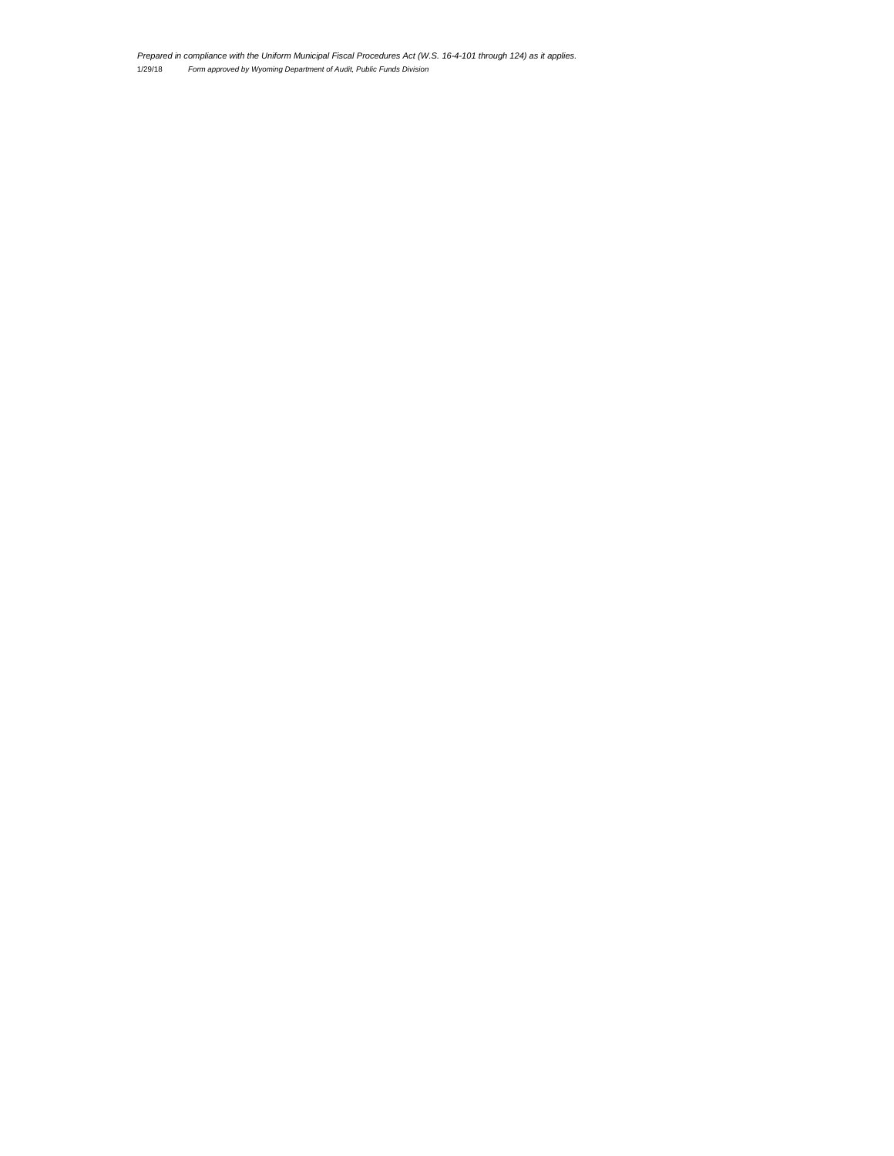1/29/18 *Form approved by Wyoming Department of Audit, Public Funds Division Prepared in compliance with the Uniform Municipal Fiscal Procedures Act (W.S. 16-4-101 through 124) as it applies.*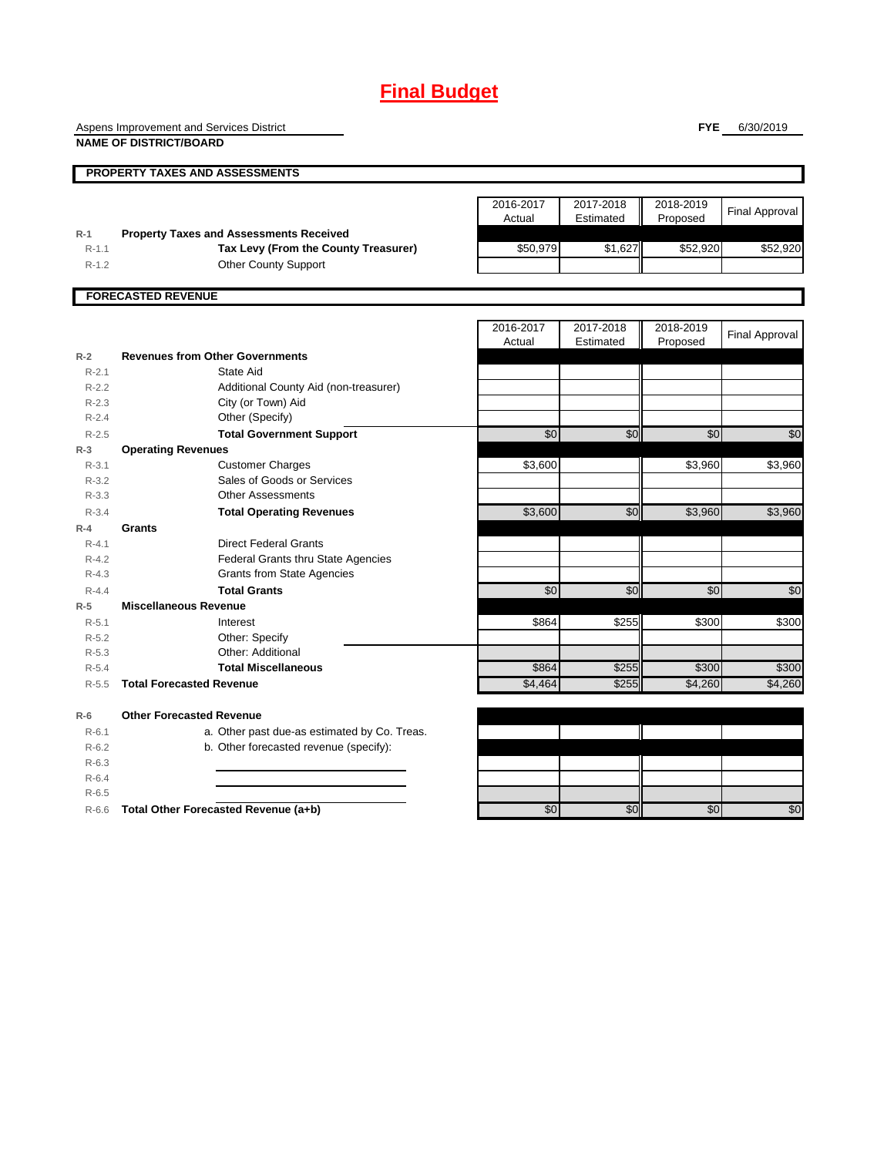# **Final Budget**

Aspens Improvement and Services District

**NAME OF DISTRICT/BOARD**

**FYE** 6/30/2019

**PROPERTY TAXES AND ASSESSMENTS**

|         |                                                | 2016-2017<br>Actual | 2017-2018<br>Estimated | 2018-2019<br>Proposed | Final Approval |
|---------|------------------------------------------------|---------------------|------------------------|-----------------------|----------------|
| $R-1$   | <b>Property Taxes and Assessments Received</b> |                     |                        |                       |                |
| $R-1.1$ | Tax Levy (From the County Treasurer)           | \$50,979            | \$1.627                | \$52,920              | \$52,920       |
| $R-1.2$ | <b>Other County Support</b>                    |                     |                        |                       |                |
|         |                                                |                     |                        |                       |                |
|         | <b>FORECASTED REVENUE</b>                      |                     |                        |                       |                |
|         |                                                |                     |                        |                       |                |

|           |                                 |                                              | 2016-2017<br>Actual | 2017-2018<br>Estimated | 2018-2019<br>Proposed | <b>Final Approval</b> |
|-----------|---------------------------------|----------------------------------------------|---------------------|------------------------|-----------------------|-----------------------|
| $R-2$     |                                 | <b>Revenues from Other Governments</b>       |                     |                        |                       |                       |
| $R - 2.1$ |                                 | State Aid                                    |                     |                        |                       |                       |
| $R-2.2$   |                                 | Additional County Aid (non-treasurer)        |                     |                        |                       |                       |
| $R-2.3$   |                                 | City (or Town) Aid                           |                     |                        |                       |                       |
| $R - 2.4$ |                                 | Other (Specify)                              |                     |                        |                       |                       |
| $R - 2.5$ |                                 | <b>Total Government Support</b>              | \$0                 | \$0                    | 30                    | $\overline{60}$       |
| $R-3$     | <b>Operating Revenues</b>       |                                              |                     |                        |                       |                       |
| $R - 3.1$ |                                 | <b>Customer Charges</b>                      | \$3,600             |                        | \$3,960               | \$3,960               |
| $R-3.2$   |                                 | Sales of Goods or Services                   |                     |                        |                       |                       |
| $R - 3.3$ |                                 | <b>Other Assessments</b>                     |                     |                        |                       |                       |
| $R - 3.4$ |                                 | <b>Total Operating Revenues</b>              | \$3,600             | \$0                    | \$3,960               | \$3,960               |
| $R - 4$   | <b>Grants</b>                   |                                              |                     |                        |                       |                       |
| $R - 4.1$ |                                 | <b>Direct Federal Grants</b>                 |                     |                        |                       |                       |
| $R - 4.2$ |                                 | <b>Federal Grants thru State Agencies</b>    |                     |                        |                       |                       |
| $R-4.3$   |                                 | <b>Grants from State Agencies</b>            |                     |                        |                       |                       |
| $R - 4.4$ |                                 | <b>Total Grants</b>                          | \$0                 | \$0                    | \$0                   | \$0                   |
| $R-5$     | <b>Miscellaneous Revenue</b>    |                                              |                     |                        |                       |                       |
| $R - 5.1$ |                                 | Interest                                     | \$864               | \$255                  | \$300                 | \$300                 |
| $R - 5.2$ |                                 | Other: Specify                               |                     |                        |                       |                       |
| $R-5.3$   |                                 | Other: Additional                            |                     |                        |                       |                       |
| $R - 5.4$ |                                 | <b>Total Miscellaneous</b>                   | \$864               | \$255                  | \$300                 | \$300                 |
| $R - 5.5$ | <b>Total Forecasted Revenue</b> |                                              | \$4,464             | \$255                  | \$4,260               | \$4,260               |
| $R-6$     | <b>Other Forecasted Revenue</b> |                                              |                     |                        |                       |                       |
| $R-6.1$   |                                 | a. Other past due-as estimated by Co. Treas. |                     |                        |                       |                       |
| $R-6.2$   |                                 | b. Other forecasted revenue (specify):       |                     |                        |                       |                       |
| $R-6.3$   |                                 |                                              |                     |                        |                       |                       |
| $R-6.4$   |                                 |                                              |                     |                        |                       |                       |

R-6.5

R-6.6 **Total Other Forecasted Revenue (a+b)** \$0 \$0 \$0 \$0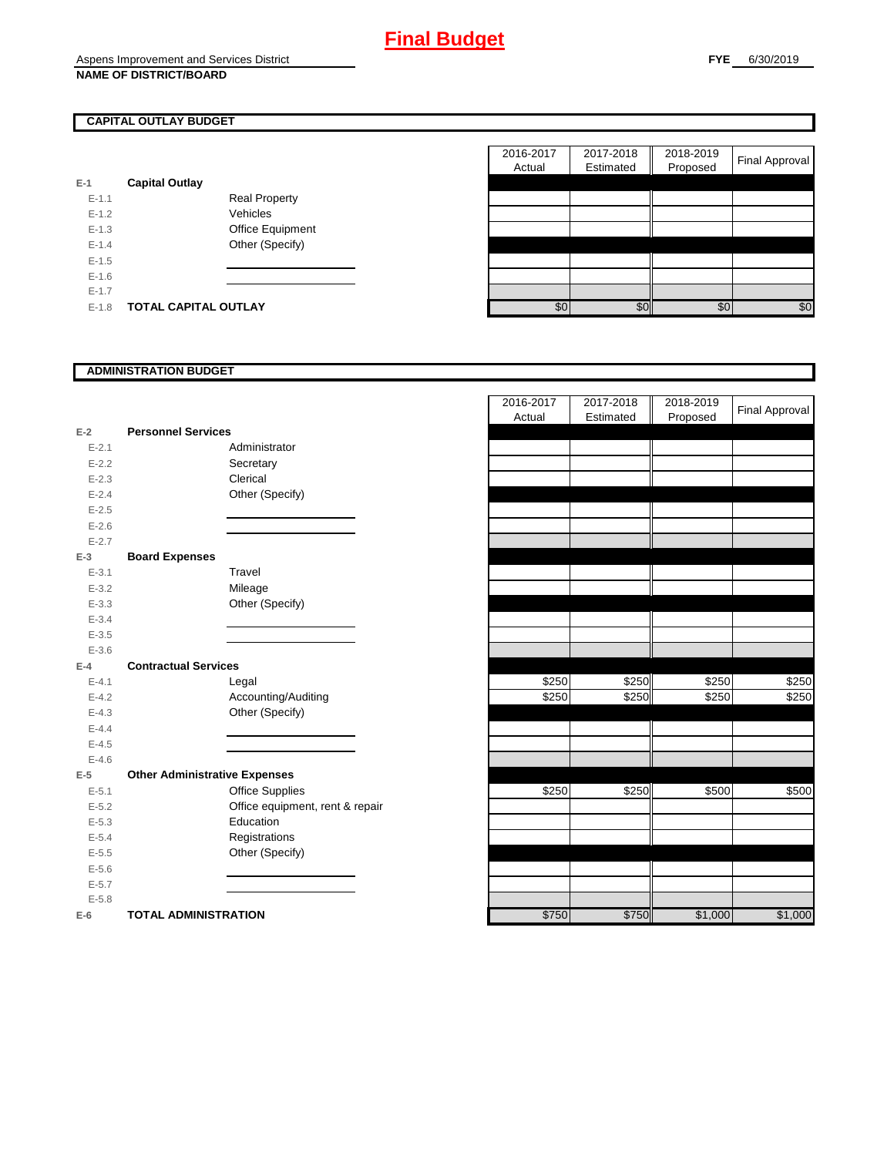### **CAPITAL OUTLAY BUDGET**

| E-1       | <b>Capital Outlay</b> |                         |
|-----------|-----------------------|-------------------------|
| $F-1.1$   |                       | <b>Real Property</b>    |
| $F-1.2$   |                       | Vehicles                |
| $F-1.3$   |                       | <b>Office Equipment</b> |
| $F - 1.4$ |                       | Other (Specify)         |
| $F-1.5$   |                       |                         |
| $F-1.6$   |                       |                         |
| $F-1.7$   |                       |                         |
| $F-1.8$   | TOTAL CAPITAL OUTLAY  |                         |

|         |                             |                      | 2016-2017 | 2017-2018 | 2018-2019 |                |
|---------|-----------------------------|----------------------|-----------|-----------|-----------|----------------|
|         |                             |                      | Actual    | Estimated | Proposed  | Final Approval |
|         | <b>Capital Outlay</b>       |                      |           |           |           |                |
| $E-1.1$ |                             | <b>Real Property</b> |           |           |           |                |
| $E-1.2$ |                             | Vehicles             |           |           |           |                |
| $E-1.3$ |                             | Office Equipment     |           |           |           |                |
| $E-1.4$ |                             | Other (Specify)      |           |           |           |                |
| $E-1.5$ |                             |                      |           |           |           |                |
| $E-1.6$ |                             |                      |           |           |           |                |
| $E-1.7$ |                             |                      |           |           |           |                |
| $E-1.8$ | <b>TOTAL CAPITAL OUTLAY</b> |                      | \$0       | \$0       | \$0       | \$0            |

## **ADMINISTRATION BUDGET**

| $E-2$     | <b>Personnel Services</b>            |                                 |
|-----------|--------------------------------------|---------------------------------|
| $E - 2.1$ |                                      | Administrator                   |
| $E - 2.2$ |                                      | Secretary                       |
| $E - 2.3$ |                                      | Clerical                        |
| $E - 2.4$ |                                      | Other (Specify)                 |
| $E - 2.5$ |                                      |                                 |
| $E - 2.6$ |                                      |                                 |
| $E - 2.7$ |                                      |                                 |
| $E-3$     | <b>Board Expenses</b>                |                                 |
| $E - 3.1$ |                                      | Travel                          |
| $E - 3.2$ |                                      | Mileage                         |
| $E - 3.3$ |                                      | Other (Specify)                 |
| $E - 3.4$ |                                      |                                 |
| $E - 3.5$ |                                      |                                 |
| $E - 3.6$ |                                      |                                 |
| $E-4$     | <b>Contractual Services</b>          |                                 |
| $E - 4.1$ |                                      | Legal                           |
| $E - 4.2$ |                                      | Accounting/Auditing             |
| $E - 4.3$ |                                      | Other (Specify)                 |
| $E-4.4$   |                                      |                                 |
| $E - 4.5$ |                                      |                                 |
| $E - 4.6$ |                                      |                                 |
| E-5       | <b>Other Administrative Expenses</b> |                                 |
| $E - 5.1$ |                                      | <b>Office Supplies</b>          |
| $E - 5.2$ |                                      | Office equipment, rent & repair |
| $E - 5.3$ |                                      | Education                       |
| $E - 5.4$ |                                      | Registrations                   |
| $E - 5.5$ |                                      | Other (Specify)                 |
| $E - 5.6$ |                                      |                                 |
| $E - 5.7$ |                                      |                                 |
| $E - 5.8$ |                                      |                                 |
| E-6       | <b>TOTAL ADMINISTRATION</b>          |                                 |

|                         |                                      |                                 | 2016-2017<br>Actual |       | 2017-2018<br>Estimated | 2018-2019<br>Proposed | <b>Final Approval</b> |
|-------------------------|--------------------------------------|---------------------------------|---------------------|-------|------------------------|-----------------------|-----------------------|
| 2                       | <b>Personnel Services</b>            |                                 |                     |       |                        |                       |                       |
| $E - 2.1$               |                                      | Administrator                   |                     |       |                        |                       |                       |
| $E - 2.2$               |                                      | Secretary                       |                     |       |                        |                       |                       |
| $E - 2.3$               |                                      | Clerical                        |                     |       |                        |                       |                       |
| $E - 2.4$               |                                      | Other (Specify)                 |                     |       |                        |                       |                       |
| $E-2.5$                 |                                      |                                 |                     |       |                        |                       |                       |
| $E - 2.6$               |                                      |                                 |                     |       |                        |                       |                       |
| $E-2.7$                 |                                      |                                 |                     |       |                        |                       |                       |
| š                       | <b>Board Expenses</b>                |                                 |                     |       |                        |                       |                       |
| $E - 3.1$               |                                      | Travel                          |                     |       |                        |                       |                       |
| $E - 3.2$               |                                      | Mileage                         |                     |       |                        |                       |                       |
| $E - 3.3$               |                                      | Other (Specify)                 |                     |       |                        |                       |                       |
| $E - 3.4$               |                                      |                                 |                     |       |                        |                       |                       |
| $E - 3.5$               |                                      |                                 |                     |       |                        |                       |                       |
| $E - 3.6$               |                                      |                                 |                     |       |                        |                       |                       |
| ļ.                      | <b>Contractual Services</b>          |                                 |                     |       |                        |                       |                       |
| $E - 4.1$               |                                      | Legal                           |                     | \$250 | \$250                  | \$250                 | \$250                 |
| $E - 4.2$               |                                      | Accounting/Auditing             |                     | \$250 | \$250                  | \$250                 | \$250                 |
| $E - 4.3$               |                                      | Other (Specify)                 |                     |       |                        |                       |                       |
| $E - 4.4$               |                                      |                                 |                     |       |                        |                       |                       |
| $E-4.5$                 |                                      |                                 |                     |       |                        |                       |                       |
| $E - 4.6$               |                                      |                                 |                     |       |                        |                       |                       |
| $\overline{\mathbf{5}}$ | <b>Other Administrative Expenses</b> |                                 |                     |       |                        |                       |                       |
| $E - 5.1$               |                                      | <b>Office Supplies</b>          |                     | \$250 | \$250                  | \$500                 | \$500                 |
| $E - 5.2$               |                                      | Office equipment, rent & repair |                     |       |                        |                       |                       |
| $E-5.3$                 |                                      | Education                       |                     |       |                        |                       |                       |
| $E - 5.4$               |                                      | Registrations                   |                     |       |                        |                       |                       |
| $E - 5.5$               |                                      | Other (Specify)                 |                     |       |                        |                       |                       |
| $E - 5.6$               |                                      |                                 |                     |       |                        |                       |                       |
| $E - 5.7$               |                                      |                                 |                     |       |                        |                       |                       |
| $E - 5.8$               |                                      |                                 |                     |       |                        |                       |                       |
| ś                       | <b>TOTAL ADMINISTRATION</b>          |                                 |                     | \$750 | \$750                  | \$1,000               | \$1,000               |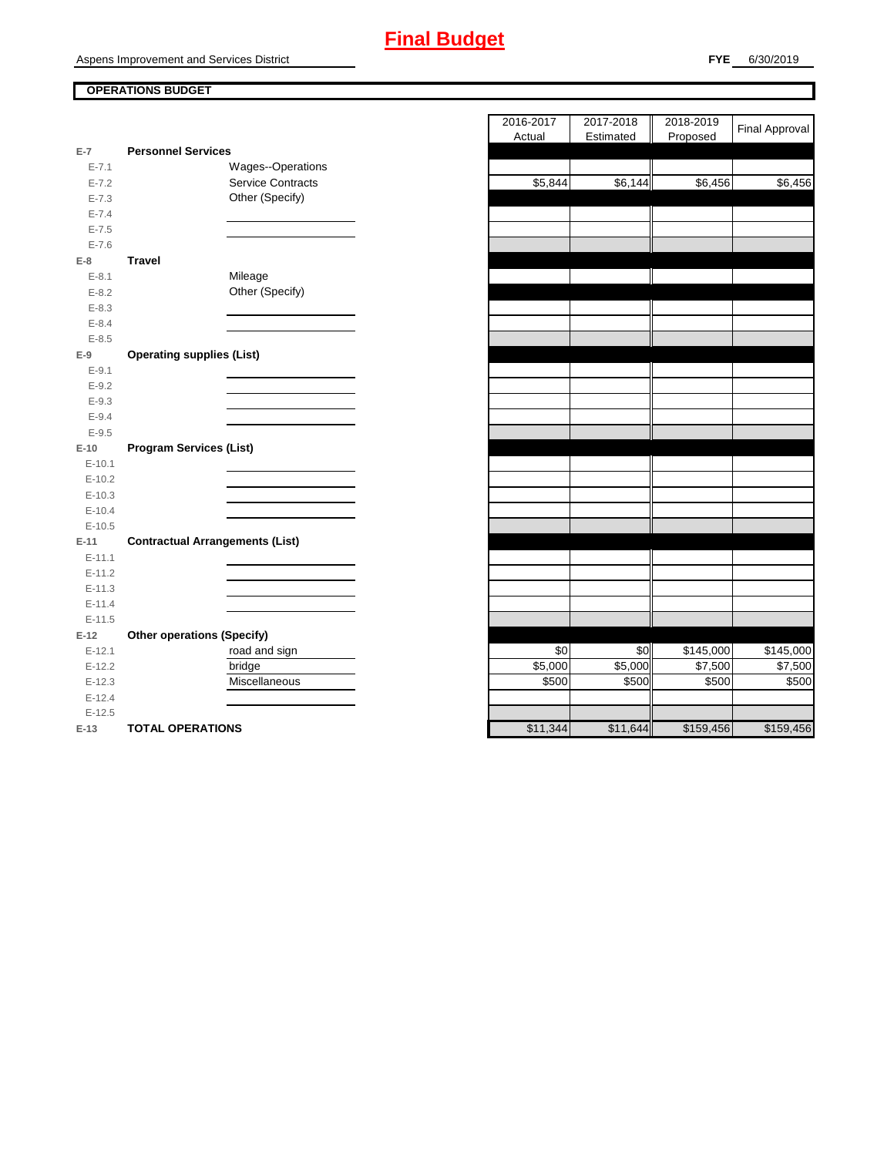#### **OPERATIONS BUDGET**

| E-7        | <b>Personnel Services</b>              |  |
|------------|----------------------------------------|--|
| $E - 7.1$  | Wages--Operations                      |  |
| $E - 7.2$  | <b>Service Contracts</b>               |  |
| $E - 7.3$  | Other (Specify)                        |  |
| $E - 7.4$  |                                        |  |
| $E - 7.5$  |                                        |  |
| $E - 7.6$  |                                        |  |
| $E-8$      | <b>Travel</b>                          |  |
| $E-8.1$    | Mileage                                |  |
| $E - 8.2$  | Other (Specify)                        |  |
| $E - 8.3$  |                                        |  |
| $E - 8.4$  |                                        |  |
| $E - 8.5$  |                                        |  |
| $E-9$      | <b>Operating supplies (List)</b>       |  |
| $E-9.1$    |                                        |  |
| $E-9.2$    |                                        |  |
| $E-9.3$    |                                        |  |
| $E - 9.4$  |                                        |  |
| $E - 9.5$  |                                        |  |
| $E-10$     | <b>Program Services (List)</b>         |  |
| $E-10.1$   |                                        |  |
| $E-10.2$   |                                        |  |
| $E-10.3$   |                                        |  |
| $E - 10.4$ |                                        |  |
| $E-10.5$   |                                        |  |
| $E-11$     | <b>Contractual Arrangements (List)</b> |  |
| $E - 11.1$ |                                        |  |
| $E-11.2$   |                                        |  |
| $E-11.3$   |                                        |  |
| $E-11.4$   |                                        |  |
| $E-11.5$   |                                        |  |
| $E-12$     | <b>Other operations (Specify)</b>      |  |
| $E-12.1$   | road and sign                          |  |
| $E-12.2$   | bridge                                 |  |
| $E-12.3$   | Miscellaneous                          |  |
| $E-12.4$   |                                        |  |
| $E-12.5$   |                                        |  |
|            |                                        |  |

|           |                                        | 2016-2017 | 2017-2018 | 2018-2019 | <b>Final Approval</b> |
|-----------|----------------------------------------|-----------|-----------|-----------|-----------------------|
|           |                                        | Actual    | Estimated | Proposed  |                       |
| $E-7$     | <b>Personnel Services</b>              |           |           |           |                       |
| $E - 7.1$ | Wages--Operations                      |           |           |           |                       |
| $E - 7.2$ | Service Contracts                      | \$5,844   | \$6,144   | \$6,456   | \$6,456               |
| $E - 7.3$ | Other (Specify)                        |           |           |           |                       |
| $E - 7.4$ |                                        |           |           |           |                       |
| $E - 7.5$ |                                        |           |           |           |                       |
| $E - 7.6$ |                                        |           |           |           |                       |
| $E-8$     | <b>Travel</b>                          |           |           |           |                       |
| $E - 8.1$ | Mileage                                |           |           |           |                       |
| $E-8.2$   | Other (Specify)                        |           |           |           |                       |
| $E - 8.3$ |                                        |           |           |           |                       |
| $E - 8.4$ |                                        |           |           |           |                       |
| $E - 8.5$ |                                        |           |           |           |                       |
| $E-9$     | <b>Operating supplies (List)</b>       |           |           |           |                       |
| $E-9.1$   |                                        |           |           |           |                       |
| $E-9.2$   |                                        |           |           |           |                       |
| $E-9.3$   |                                        |           |           |           |                       |
| $E-9.4$   |                                        |           |           |           |                       |
| $E-9.5$   |                                        |           |           |           |                       |
| $E-10$    | <b>Program Services (List)</b>         |           |           |           |                       |
| $E-10.1$  |                                        |           |           |           |                       |
| $E-10.2$  |                                        |           |           |           |                       |
| $E-10.3$  |                                        |           |           |           |                       |
| $E-10.4$  |                                        |           |           |           |                       |
| $E-10.5$  |                                        |           |           |           |                       |
| $E-11$    | <b>Contractual Arrangements (List)</b> |           |           |           |                       |
| $E-11.1$  |                                        |           |           |           |                       |
| $E-11.2$  |                                        |           |           |           |                       |
| $E-11.3$  |                                        |           |           |           |                       |
| $E-11.4$  |                                        |           |           |           |                       |
| $E-11.5$  |                                        |           |           |           |                       |
| $E-12$    | <b>Other operations (Specify)</b>      |           |           |           |                       |
| $E-12.1$  | road and sign                          | \$0       | \$0       | \$145,000 | \$145,000             |
| $E-12.2$  | bridge                                 | \$5,000   | \$5,000   | \$7,500   | \$7,500               |
| $E-12.3$  | Miscellaneous                          | \$500     | \$500     | \$500     | \$500                 |
| $E-12.4$  |                                        |           |           |           |                       |
| $E-12.5$  |                                        |           |           |           |                       |
| $E-13$    | <b>TOTAL OPERATIONS</b>                | \$11,344  | \$11,644  | \$159,456 | \$159,456             |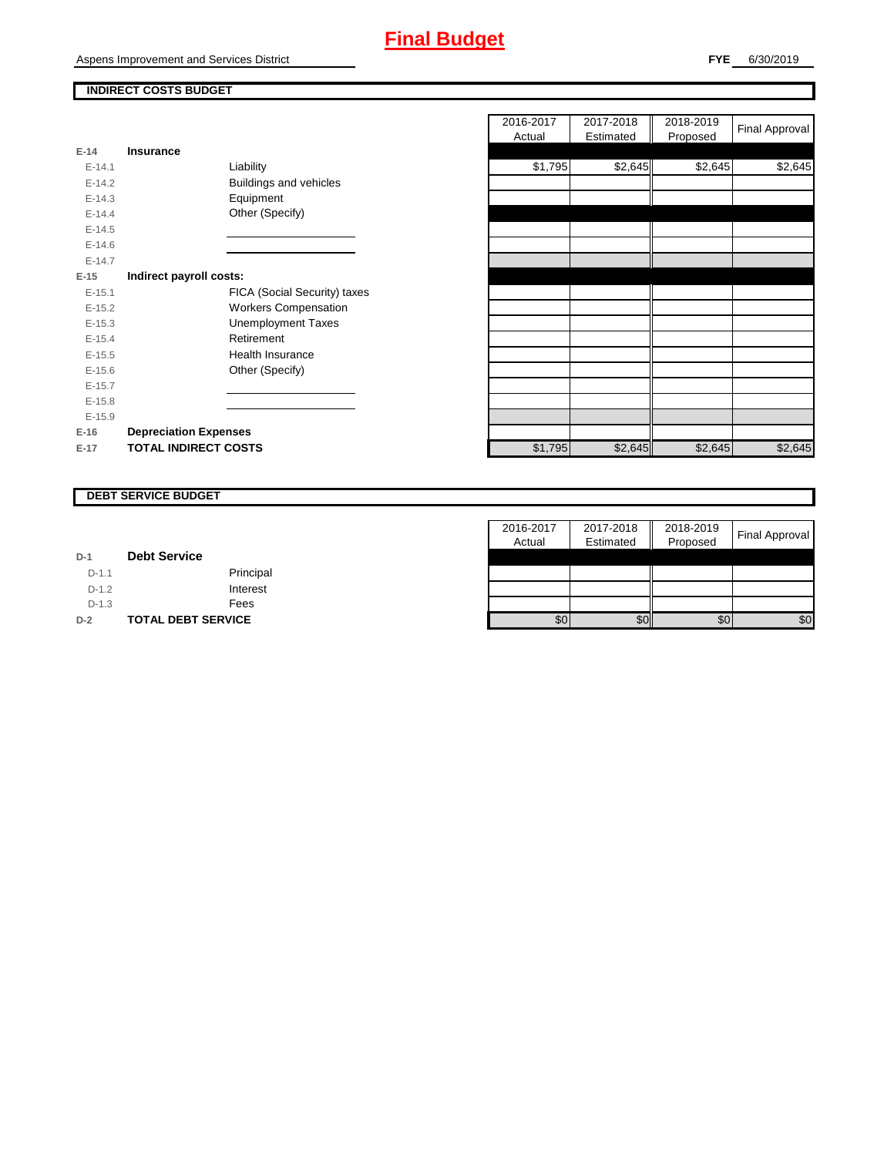# **Final Budget**

Aspens Improvement and Services District

**FYE** 6/30/2019

#### **INDIRECT COSTS BUDGET**

| F-14     | <b>Insurance</b>             |
|----------|------------------------------|
| $F-14.1$ | Liability                    |
| $E-14.2$ | Buildings and vehicles       |
| $F-14.3$ | Equipment                    |
| $F-14.4$ | Other (Specify)              |
| $F-14.5$ |                              |
| $F-14.6$ |                              |
| $F-14.7$ |                              |
| $E-15$   | Indirect payroll costs:      |
| $E-15.1$ | FICA (Social Security) taxes |
| $F-15.2$ | <b>Workers Compensation</b>  |
| $E-15.3$ | Unemployment Taxes           |
| $E-15.4$ | Retirement                   |
| $E-15.5$ | Health Insurance             |
| $E-15.6$ | Other (Specify)              |
| $F-15.7$ |                              |
| $E-15.8$ |                              |
| $E-15.9$ |                              |
| $E-16$   | <b>Depreciation Expenses</b> |
| F-17     | <b>TOTAL INDIRECT COSTS</b>  |

|          |                              |                              | 2016-2017 | 2017-2018 | 2018-2019 |                |
|----------|------------------------------|------------------------------|-----------|-----------|-----------|----------------|
|          |                              |                              | Actual    | Estimated | Proposed  | Final Approval |
| $E-14$   | <b>Insurance</b>             |                              |           |           |           |                |
| $E-14.1$ |                              | Liability                    | \$1,795   | \$2,645   | \$2,645   | \$2,645        |
| $E-14.2$ |                              | Buildings and vehicles       |           |           |           |                |
| $E-14.3$ |                              | Equipment                    |           |           |           |                |
| $E-14.4$ |                              | Other (Specify)              |           |           |           |                |
| $E-14.5$ |                              |                              |           |           |           |                |
| $E-14.6$ |                              |                              |           |           |           |                |
| $E-14.7$ |                              |                              |           |           |           |                |
| $E-15$   | Indirect payroll costs:      |                              |           |           |           |                |
| $E-15.1$ |                              | FICA (Social Security) taxes |           |           |           |                |
| $E-15.2$ |                              | <b>Workers Compensation</b>  |           |           |           |                |
| $E-15.3$ |                              | <b>Unemployment Taxes</b>    |           |           |           |                |
| $E-15.4$ |                              | Retirement                   |           |           |           |                |
| $E-15.5$ |                              | Health Insurance             |           |           |           |                |
| $E-15.6$ |                              | Other (Specify)              |           |           |           |                |
| $E-15.7$ |                              |                              |           |           |           |                |
| $E-15.8$ |                              |                              |           |           |           |                |
| $E-15.9$ |                              |                              |           |           |           |                |
| $E-16$   | <b>Depreciation Expenses</b> |                              |           |           |           |                |
| $E-17$   | <b>TOTAL INDIRECT COSTS</b>  |                              | \$1,795   | \$2,645   | \$2,645   | \$2,645        |
|          |                              |                              |           |           |           |                |

# **DEBT SERVICE BUDGET**

|         |                           | 2016-2017 | 2017-2018 | 2018-2019 |                |
|---------|---------------------------|-----------|-----------|-----------|----------------|
|         |                           | Actual    | Estimated | Proposed  | Final Approval |
| $D-1$   | <b>Debt Service</b>       |           |           |           |                |
| $D-1.1$ | Principal                 |           |           |           |                |
| $D-1.2$ | Interest                  |           |           |           |                |
| $D-1.3$ | Fees                      |           |           |           |                |
| $D-2$   | <b>TOTAL DEBT SERVICE</b> | \$0       | \$0       | \$0       | \$0            |